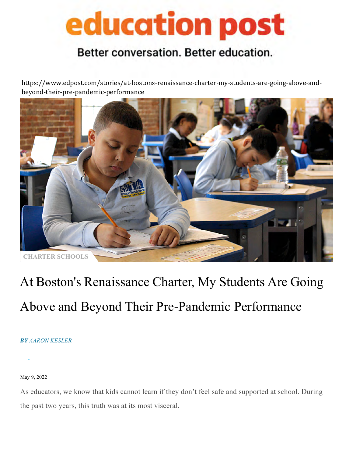# education post

### Better conversation. Better education.

[https://www.edpost.com/stories/at-bostons-renaissance-charter-my-students-are-going-above-and](https://www.edpost.com/stories/at-bostons-renaissance-charter-my-students-are-going-above-and-beyond-their-pre-pandemic-performance)beyond-their-pre-pandemic-performance



### At Boston's Renaissance Charter, My Students Are Going Above and Beyond Their Pre-Pandemic Performance

#### *BY [AARON KESLER](https://www.edpost.com/stories/author/aaron-kesler)*

May 9, 2022

As educators, we know that kids cannot learn if they don't feel safe and supported at school. During the past two years, this truth was at its most visceral.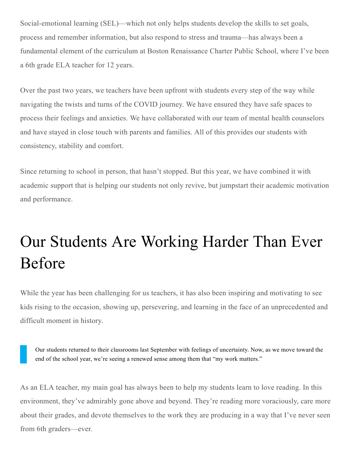Social-emotional learning (SEL)—which not only helps students develop the skills to set goals, process and remember information, but also respond to stress and trauma—has always been a fundamental element of the curriculum at Boston Renaissance Charter Public School, where I've been a 6th grade ELA teacher for 12 years.

Over the past two years, we teachers have been upfront with students every step of the way while navigating the twists and turns of the COVID journey. We have ensured they have safe spaces to process their feelings and anxieties. We have collaborated with our team of mental health counselors and have stayed in close touch with parents and families. All of this provides our students with consistency, stability and comfort.

Since returning to school in person, that hasn't stopped. But this year, we have combined it with academic support that is helping our students not only revive, but jumpstart their academic motivation and performance.

### Our Students Are Working Harder Than Ever Before

While the year has been challenging for us teachers, it has also been inspiring and motivating to see kids rising to the occasion, showing up, persevering, and learning in the face of an unprecedented and difficult moment in history.

Our students returned to their classrooms last September with feelings of uncertainty. Now, as we move toward the end of the school year, we're seeing a renewed sense among them that "my work matters."

As an ELA teacher, my main goal has always been to help my students learn to love reading. In this environment, they've admirably gone above and beyond. They're reading more voraciously, care more about their grades, and devote themselves to the work they are producing in a way that I've never seen from 6th graders—ever.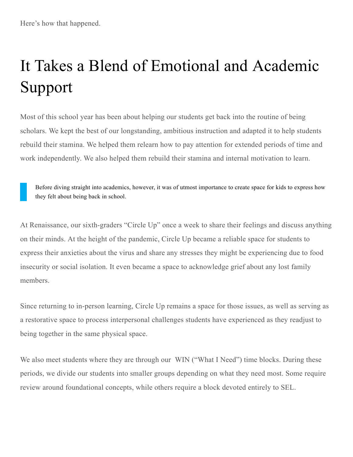## It Takes a Blend of Emotional and Academic Support

Most of this school year has been about helping our students get back into the routine of being scholars. We kept the best of our longstanding, ambitious instruction and adapted it to help students rebuild their stamina. We helped them relearn how to pay attention for extended periods of time and work independently. We also helped them rebuild their stamina and internal motivation to learn.

Before diving straight into academics, however, it was of utmost importance to create space for kids to express how they felt about being back in school.

At Renaissance, our sixth-graders "Circle Up" once a week to share their feelings and discuss anything on their minds. At the height of the pandemic, Circle Up became a reliable space for students to express their anxieties about the virus and share any stresses they might be experiencing due to food insecurity or social isolation. It even became a space to acknowledge grief about any lost family members.

Since returning to in-person learning, Circle Up remains a space for those issues, as well as serving as a restorative space to process interpersonal challenges students have experienced as they readjust to being together in the same physical space.

We also meet students where they are through our WIN ("What I Need") time blocks. During these periods, we divide our students into smaller groups depending on what they need most. Some require review around foundational concepts, while others require a block devoted entirely to SEL.